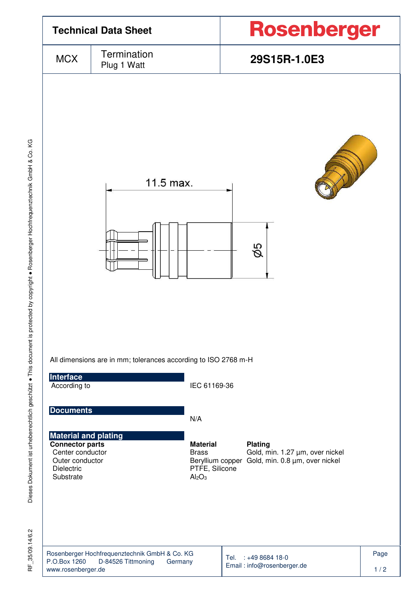